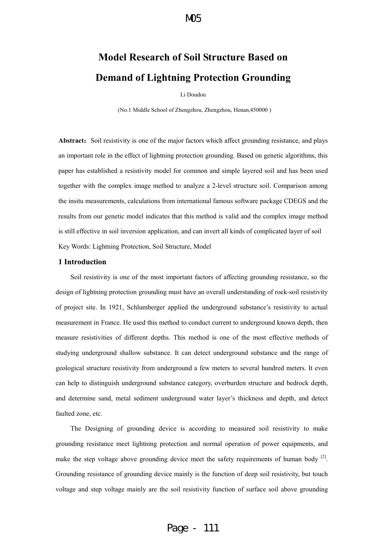## $M5$

# **Model Research of Soil Structure Based on Demand of Lightning Protection Grounding**

Li Doudou

(No.1 Middle School of Zhengzhou, Zhengzhou, Henan,450000 )

Abstract: Soil resistivity is one of the major factors which affect grounding resistance, and plays an important role in the effect of lightning protection grounding. Based on genetic algorithms, this paper has established a resistivity model for common and simple layered soil and has been used together with the complex image method to analyze a 2-level structure soil. Comparison among the insitu measurements, calculations from international famous software package CDEGS and the results from our genetic model indicates that this method is valid and the complex image method is still effective in soil inversion application, and can invert all kinds of complicated layer of soil Key Words: Lightning Protection, Soil Structure, Model

### **1 Introduction**

Soil resistivity is one of the most important factors of affecting grounding resistance, so the design of lightning protection grounding must have an overall understanding of rock-soil resistivity of project site. In 1921, Schlumberger applied the underground substance's resistivity to actual measurement in France. He used this method to conduct current to underground known depth, then measure resistivities of different depths. This method is one of the most effective methods of studying underground shallow substance. It can detect underground substance and the range of geological structure resistivity from underground a few meters to several hundred meters. It even can help to distinguish underground substance category, overburden structure and bedrock depth, and determine sand, metal sediment underground water layer's thickness and depth, and detect faulted zone, etc.

The Designing of grounding device is according to measured soil resistivity to make grounding resistance meet lightning protection and normal operation of power equipments, and make the step voltage above grounding device meet the safety requirements of human body  $^{[2]}$ . Grounding resistance of grounding device mainly is the function of deep soil resistivity, but touch voltage and step voltage mainly are the soil resistivity function of surface soil above grounding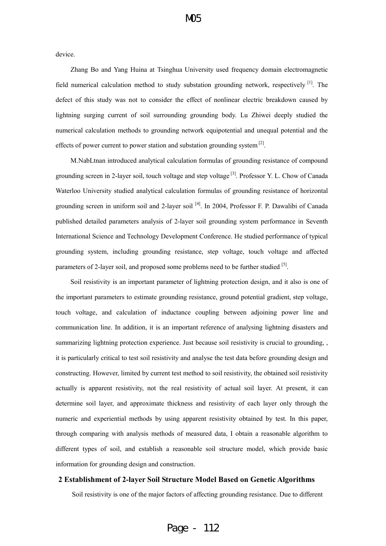device.

Zhang Bo and Yang Huina at Tsinghua University used frequency domain electromagnetic field numerical calculation method to study substation grounding network, respectively [1]. The defect of this study was not to consider the effect of nonlinear electric breakdown caused by lightning surging current of soil surrounding grounding body. Lu Zhiwei deeply studied the numerical calculation methods to grounding network equipotential and unequal potential and the effects of power current to power station and substation grounding system  $^{[2]}$ .

M.NabLtnan introduced analytical calculation formulas of grounding resistance of compound grounding screen in 2-layer soil, touch voltage and step voltage<sup>[3]</sup>. Professor Y. L. Chow of Canada Waterloo University studied analytical calculation formulas of grounding resistance of horizontal grounding screen in uniform soil and 2-layer soil <sup>[4]</sup>. In 2004, Professor F. P. Dawalibi of Canada published detailed parameters analysis of 2-layer soil grounding system performance in Seventh International Science and Technology Development Conference. He studied performance of typical grounding system, including grounding resistance, step voltage, touch voltage and affected parameters of 2-layer soil, and proposed some problems need to be further studied  $[5]$ .

Soil resistivity is an important parameter of lightning protection design, and it also is one of the important parameters to estimate grounding resistance, ground potential gradient, step voltage, touch voltage, and calculation of inductance coupling between adjoining power line and communication line. In addition, it is an important reference of analysing lightning disasters and summarizing lightning protection experience. Just because soil resistivity is crucial to grounding, it is particularly critical to test soil resistivity and analyse the test data before grounding design and constructing. However, limited by current test method to soil resistivity, the obtained soil resistivity actually is apparent resistivity, not the real resistivity of actual soil layer. At present, it can determine soil layer, and approximate thickness and resistivity of each layer only through the numeric and experiential methods by using apparent resistivity obtained by test. In this paper, through comparing with analysis methods of measured data, I obtain a reasonable algorithm to different types of soil, and establish a reasonable soil structure model, which provide basic information for grounding design and construction.

### **2 Establishment of 2-layer Soil Structure Model Based on Genetic Algorithms**

Soil resistivity is one of the major factors of affecting grounding resistance. Due to different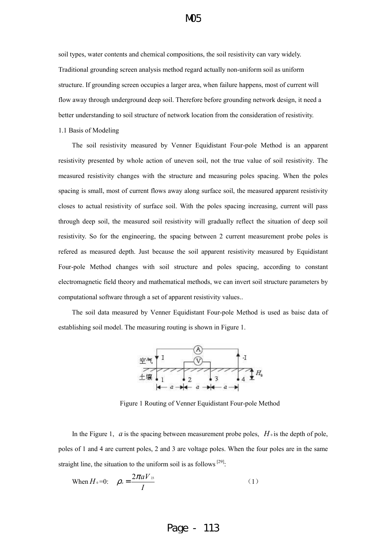### $M5$

soil types, water contents and chemical compositions, the soil resistivity can vary widely. Traditional grounding screen analysis method regard actually non-uniform soil as uniform structure. If grounding screen occupies a larger area, when failure happens, most of current will flow away through underground deep soil. Therefore before grounding network design, it need a better understanding to soil structure of network location from the consideration of resistivity.

### 1.1 Basis of Modeling

The soil resistivity measured by Venner Equidistant Four-pole Method is an apparent resistivity presented by whole action of uneven soil, not the true value of soil resistivity. The measured resistivity changes with the structure and measuring poles spacing. When the poles spacing is small, most of current flows away along surface soil, the measured apparent resistivity closes to actual resistivity of surface soil. With the poles spacing increasing, current will pass through deep soil, the measured soil resistivity will gradually reflect the situation of deep soil resistivity. So for the engineering, the spacing between 2 current measurement probe poles is refered as measured depth. Just because the soil apparent resistivity measured by Equidistant Four-pole Method changes with soil structure and poles spacing, according to constant electromagnetic field theory and mathematical methods, we can invert soil structure parameters by computational software through a set of apparent resistivity values..

The soil data measured by Venner Equidistant Four-pole Method is used as baisc data of establishing soil model. The measuring routing is shown in Figure 1.



Figure 1 Routing of Venner Equidistant Four-pole Method

In the Figure 1, *a* is the spacing between measurement probe poles,  $H_0$  is the depth of pole, poles of 1 and 4 are current poles, 2 and 3 are voltage poles. When the four poles are in the same straight line, the situation to the uniform soil is as follows  $[29]$ .

When 
$$
H_0 = 0
$$
:  $\rho_a = \frac{2\pi a V_{23}}{I}$  (1)

# Page - 113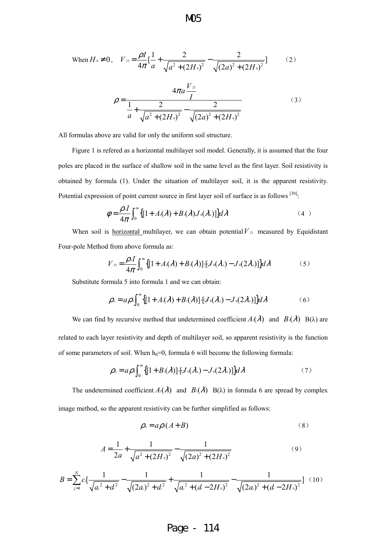$$
M\!0\!5
$$

When 
$$
H_0 \neq 0
$$
,  $V_{23} = \frac{\rho I}{4\pi} \left[ \frac{1}{a} + \frac{2}{\sqrt{a^2 + (2H_0)^2}} - \frac{2}{\sqrt{(2a)^2 + (2H_0)^2}} \right]$  (2)  

$$
\rho = \frac{4\pi a \frac{V_{23}}{I}}{\frac{1}{a} + \frac{2}{\sqrt{a^2 + (2H_0)^2}} - \frac{2}{\sqrt{(2a)^2 + (2H_0)^2}}}
$$
(3)

All formulas above are valid for only the uniform soil structure.

Figure 1 is refered as a horizontal multilayer soil model. Generally, it is assumed that the four poles are placed in the surface of shallow soil in the same level as the first layer. Soil resistivity is obtained by formula (1). Under the situation of multilayer soil, it is the apparent resistivity. Potential expression of point current source in first layer soil of surface is as follows <sup>[30]</sup>:

$$
\phi = \frac{\rho_1 I}{4\pi} \int_0^\infty \{ [1 + A_1(\lambda) + B_1(\lambda) J_0(\lambda_a)] \} d\lambda \tag{4}
$$

When soil is horizontal multilayer, we can obtain potential  $V_{23}$  measured by Equidistant Four-pole Method from above formula as:

$$
V_{23} = \frac{\rho_1 I}{4\pi} \int_0^\infty \{ [1 + A_1(\lambda) + B_1(\lambda)] \cdot [J_0(\lambda_a) - J_0(2\lambda_a)] \} d\lambda \tag{5}
$$

Substitute formula 5 into formula 1 and we can obtain:

$$
\rho_a = a \rho_1 \int_0^\infty \{ [1 + A_1(\lambda) + B_1(\lambda)] \cdot [J_0(\lambda_a) - J_0(2\lambda_a)] \} d\lambda \tag{6}
$$

We can find by recursive method that undetermined coefficient  $A_1(\lambda)$  and  $B_1(\lambda)$  B( $\lambda$ ) are related to each layer resistivity and depth of multilayer soil, so apparent resistivity is the function of some parameters of soil. When  $h_0=0$ , formula 6 will become the following formula:

$$
\rho_a = a \rho_1 \int_0^\infty \{ [1 + B_1(\lambda)] \cdot [J_0(\lambda_a) - J_0(2\lambda_a)] \} d\lambda \tag{7}
$$

The undetermined coefficient  $A_1(\lambda)$  and  $B_1(\lambda)$  B( $\lambda$ ) in formula 6 are spread by complex image method, so the apparent resistivity can be further simplified as follows:

$$
\rho_a = a \rho_1 (A + B) \tag{8}
$$

$$
A = \frac{1}{2a} + \frac{1}{\sqrt{a^2 + (2H_0)^2}} - \frac{1}{\sqrt{(2a)^2 + (2H_0)^2}}
$$
(9)  

$$
B = \sum_{j=1}^{N} c_i \left[ \frac{1}{\sqrt{a_j^2 + d_i^2}} - \frac{1}{\sqrt{(2a_j)^2 + d_i^2}} + \frac{1}{\sqrt{a_j^2 + (d_i - 2H_0)^2}} - \frac{1}{\sqrt{(2a_j)^2 + (d_i - 2H_0)^2}} \right]
$$
(10)

# Page - 114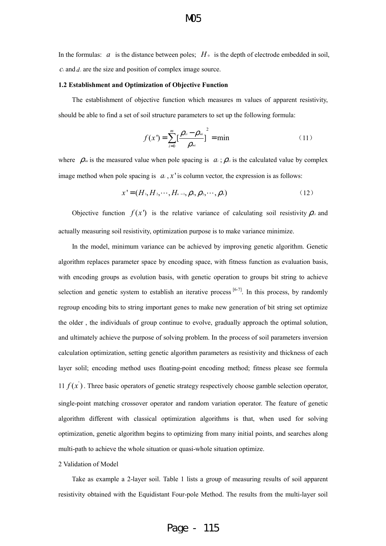In the formulas:  $a$  is the distance between poles;  $H_0$  is the depth of electrode embedded in soil, *c<sup>i</sup>* and *d<sup>i</sup>* are the size and position of complex image source.

#### **1.2 Establishment and Optimization of Objective Function**

The establishment of objective function which measures m values of apparent resistivity, should be able to find a set of soil structure parameters to set up the following formula:

$$
f(x') = \sum_{i=0}^{m} \left[\frac{\rho_{ci} - \rho_{mi}}{\rho_{mi}}\right]^2 = \min
$$
 (11)

where  $\rho_{m}$  is the measured value when pole spacing is  $a_i$ ;  $\rho_{n}$  is the calculated value by complex image method when pole spacing is  $a_i$ ,  $x'$  is column vector, the expression is as follows:

$$
x' = (H_1, H_2, \cdots, H_{n-1}, \rho_1, \rho_2, \cdots, \rho_n)
$$
 (12)

Objective function  $f(x')$  is the relative variance of calculating soil resistivity  $\rho_a$  and actually measuring soil resistivity, optimization purpose is to make variance minimize.

In the model, minimum variance can be achieved by improving genetic algorithm. Genetic algorithm replaces parameter space by encoding space, with fitness function as evaluation basis, with encoding groups as evolution basis, with genetic operation to groups bit string to achieve selection and genetic system to establish an iterative process  $[6-7]$ . In this process, by randomly regroup encoding bits to string important genes to make new generation of bit string set optimize the older , the individuals of group continue to evolve, gradually approach the optimal solution, and ultimately achieve the purpose of solving problem. In the process of soil parameters inversion calculation optimization, setting genetic algorithm parameters as resistivity and thickness of each layer solil; encoding method uses floating-point encoding method; fitness please see formula 11  $f(x)$ . Three basic operators of genetic strategy respectively choose gamble selection operator, single-point matching crossover operator and random variation operator. The feature of genetic algorithm different with classical optimization algorithms is that, when used for solving optimization, genetic algorithm begins to optimizing from many initial points, and searches along multi-path to achieve the whole situation or quasi-whole situation optimize.

#### 2 Validation of Model

Take as example a 2-layer soil. Table 1 lists a group of measuring results of soil apparent resistivity obtained with the Equidistant Four-pole Method. The results from the multi-layer soil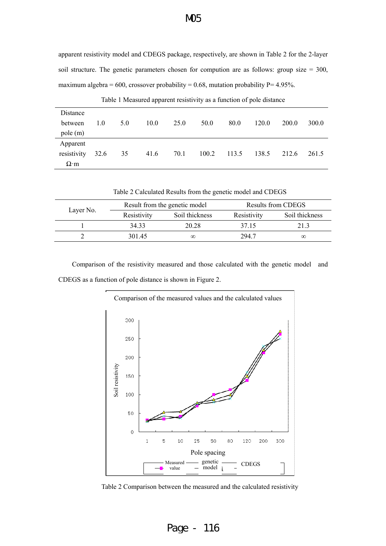## **M<sub>5</sub>**

apparent resistivity model and CDEGS package, respectively, are shown in Table 2 for the 2-layer soil structure. The genetic parameters chosen for compution are as follows: group size = 300, maximum algebra =  $600$ , crossover probability = 0.68, mutation probability P= 4.95%.

| Distance    |      |     |      |      |       |       |       |       |       |
|-------------|------|-----|------|------|-------|-------|-------|-------|-------|
| between     | 1.0  | 5.0 | 10.0 | 25.0 | 50.0  | 80.0  | 120.0 | 200.0 | 300.0 |
| pole (m)    |      |     |      |      |       |       |       |       |       |
| Apparent    |      |     |      |      |       |       |       |       |       |
| resistivity | 32.6 | 35  | 41.6 | 70.1 | 100.2 | 113.5 | 138.5 | 212.6 | 261.5 |
| $\Omega$ ·m |      |     |      |      |       |       |       |       |       |

Table 1 Measured apparent resistivity as a function of pole distance

Table 2 Calculated Results from the genetic model and CDEGS

|           |             | Result from the genetic model | Results from CDEGS |                |  |
|-----------|-------------|-------------------------------|--------------------|----------------|--|
| Laver No. | Resistivity | Soil thickness                | Resistivity        | Soil thickness |  |
|           | 34 33       | 20.28                         | 37 15              | 21.3           |  |
|           | 301.45      | ∞                             | 294.7              | ∞              |  |

Comparison of the resistivity measured and those calculated with the genetic model and CDEGS as a function of pole distance is shown in Figure 2.



Table 2 Comparison between the measured and the calculated resistivity

Page - 116